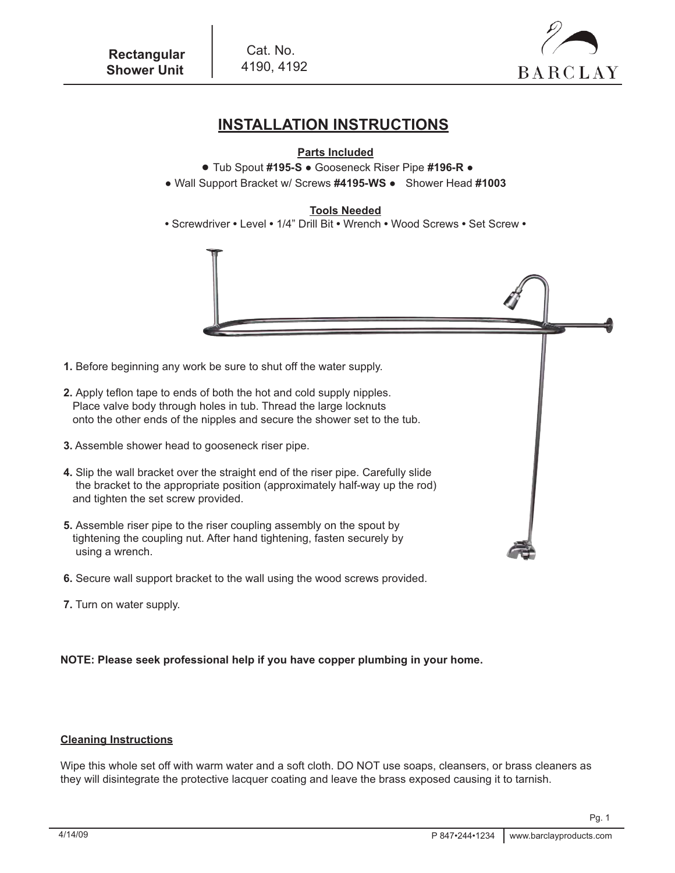



# **INSTALLATION INSTRUCTIONS**

## **Parts Included**

- Tub Spout **#195-S**  Gooseneck Riser Pipe **#196-R** ●
- Wall Support Bracket w/ Screws **#4195-WS**  Shower Head **#1003**

### **Tools Needed**

**•** Screwdriver **•** Level **•** 1/4" Drill Bit **•** Wrench **•** Wood Screws **•** Set Screw **•**



- **1.** Before beginning any work be sure to shut off the water supply.
- **2.** Apply teflon tape to ends of both the hot and cold supply nipples. Place valve body through holes in tub. Thread the large locknuts onto the other ends of the nipples and secure the shower set to the tub.
- **3.** Assemble shower head to gooseneck riser pipe.
- **4.** Slip the wall bracket over the straight end of the riser pipe. Carefully slide the bracket to the appropriate position (approximately half-way up the rod) and tighten the set screw provided.
- **5.** Assemble riser pipe to the riser coupling assembly on the spout by tightening the coupling nut. After hand tightening, fasten securely by using a wrench.
- **6.** Secure wall support bracket to the wall using the wood screws provided.
- **7.** Turn on water supply.

#### **NOTE: Please seek professional help if you have copper plumbing in your home.**

### **Cleaning Instructions**

Wipe this whole set off with warm water and a soft cloth. DO NOT use soaps, cleansers, or brass cleaners as they will disintegrate the protective lacquer coating and leave the brass exposed causing it to tarnish.

Pg. 1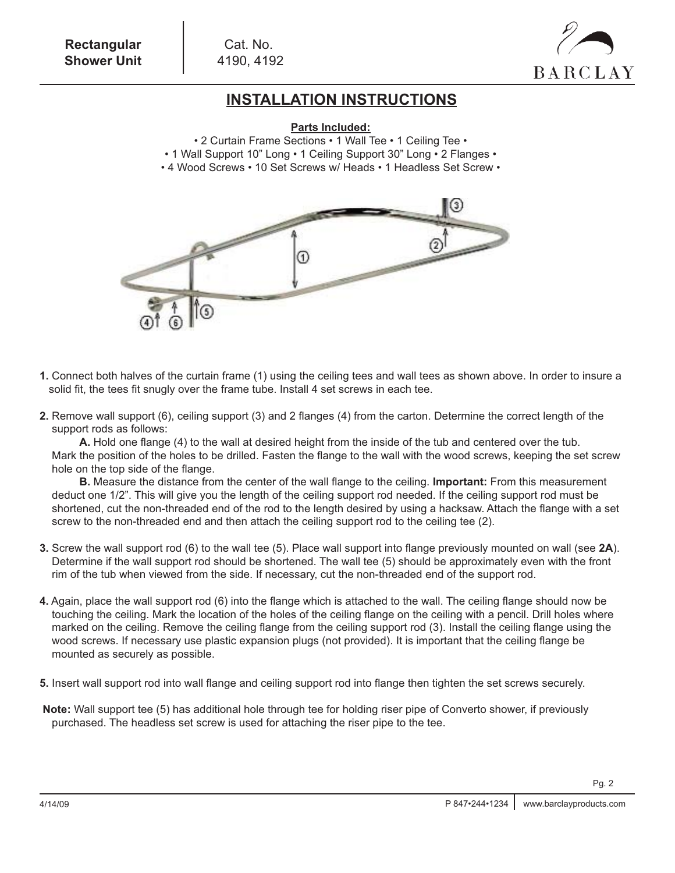

# **INSTALLATION INSTRUCTIONS**

#### **Parts Included:**

- 2 Curtain Frame Sections 1 Wall Tee 1 Ceiling Tee •
- 1 Wall Support 10" Long 1 Ceiling Support 30" Long 2 Flanges •
- 4 Wood Screws 10 Set Screws w/ Heads 1 Headless Set Screw •



- **1.** Connect both halves of the curtain frame (1) using the ceiling tees and wall tees as shown above. In order to insure a solid fit, the tees fit snugly over the frame tube. Install 4 set screws in each tee.
- **2.** Remove wall support (6), ceiling support (3) and 2 flanges (4) from the carton. Determine the correct length of the support rods as follows:

**A.** Hold one flange (4) to the wall at desired height from the inside of the tub and centered over the tub. Mark the position of the holes to be drilled. Fasten the flange to the wall with the wood screws, keeping the set screw hole on the top side of the flange.

**B.** Measure the distance from the center of the wall flange to the ceiling. **Important:** From this measurement deduct one 1/2". This will give you the length of the ceiling support rod needed. If the ceiling support rod must be shortened, cut the non-threaded end of the rod to the length desired by using a hacksaw. Attach the flange with a set screw to the non-threaded end and then attach the ceiling support rod to the ceiling tee (2).

- **3.** Screw the wall support rod (6) to the wall tee (5). Place wall support into flange previously mounted on wall (see **2A**). Determine if the wall support rod should be shortened. The wall tee (5) should be approximately even with the front rim of the tub when viewed from the side. If necessary, cut the non-threaded end of the support rod.
- **4.** Again, place the wall support rod (6) into the flange which is attached to the wall. The ceiling flange should now be touching the ceiling. Mark the location of the holes of the ceiling flange on the ceiling with a pencil. Drill holes where marked on the ceiling. Remove the ceiling flange from the ceiling support rod (3). Install the ceiling flange using the wood screws. If necessary use plastic expansion plugs (not provided). It is important that the ceiling flange be mounted as securely as possible.
- **5.** Insert wall support rod into wall flange and ceiling support rod into flange then tighten the set screws securely.
- **Note:** Wall support tee (5) has additional hole through tee for holding riser pipe of Converto shower, if previously purchased. The headless set screw is used for attaching the riser pipe to the tee.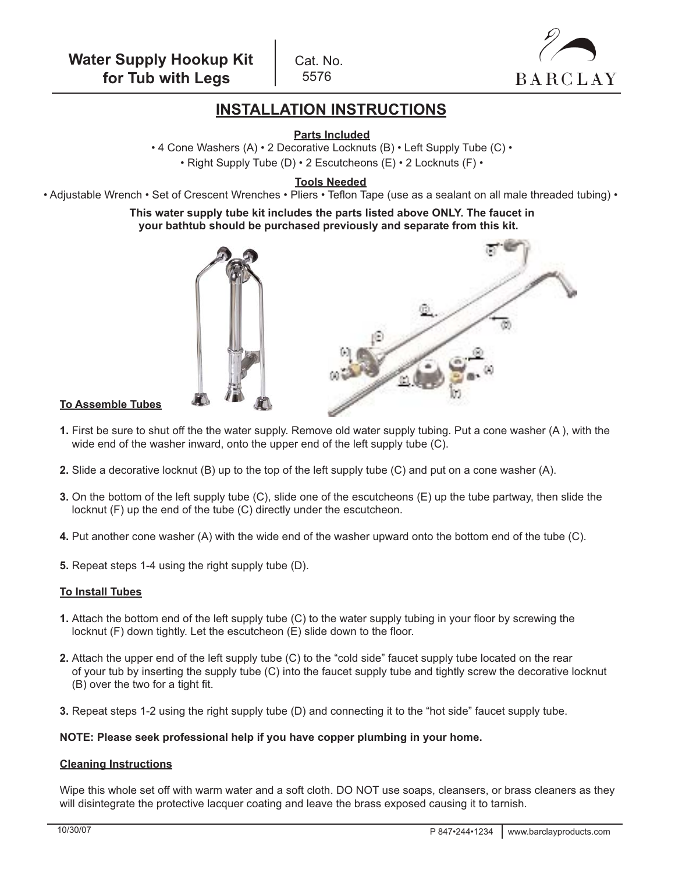Cat. No. 5576



# **INSTALLATION INSTRUCTIONS**

**Parts Included**

• 4 Cone Washers (A) • 2 Decorative Locknuts (B) • Left Supply Tube (C) • • Right Supply Tube (D) • 2 Escutcheons (E) • 2 Locknuts (F) •

**Tools Needed**

• Adjustable Wrench • Set of Crescent Wrenches • Pliers • Teflon Tape (use as a sealant on all male threaded tubing) •

**This water supply tube kit includes the parts listed above ONLY. The faucet in your bathtub should be purchased previously and separate from this kit.** 



#### **To Assemble Tubes**

- **1.** First be sure to shut off the the water supply. Remove old water supply tubing. Put a cone washer (A ), with the wide end of the washer inward, onto the upper end of the left supply tube (C).
- **2.** Slide a decorative locknut (B) up to the top of the left supply tube (C) and put on a cone washer (A).
- **3.** On the bottom of the left supply tube (C), slide one of the escutcheons (E) up the tube partway, then slide the locknut (F) up the end of the tube (C) directly under the escutcheon.
- **4.** Put another cone washer (A) with the wide end of the washer upward onto the bottom end of the tube (C).
- **5.** Repeat steps 1-4 using the right supply tube (D).

#### **To Install Tubes**

- **1.** Attach the bottom end of the left supply tube (C) to the water supply tubing in your floor by screwing the locknut (F) down tightly. Let the escutcheon (E) slide down to the floor.
- **2.** Attach the upper end of the left supply tube (C) to the "cold side" faucet supply tube located on the rear of your tub by inserting the supply tube (C) into the faucet supply tube and tightly screw the decorative locknut (B) over the two for a tight fit.
- **3.** Repeat steps 1-2 using the right supply tube (D) and connecting it to the "hot side" faucet supply tube.

#### **NOTE: Please seek professional help if you have copper plumbing in your home.**

#### **Cleaning Instructions**

Wipe this whole set off with warm water and a soft cloth. DO NOT use soaps, cleansers, or brass cleaners as they will disintegrate the protective lacquer coating and leave the brass exposed causing it to tarnish.